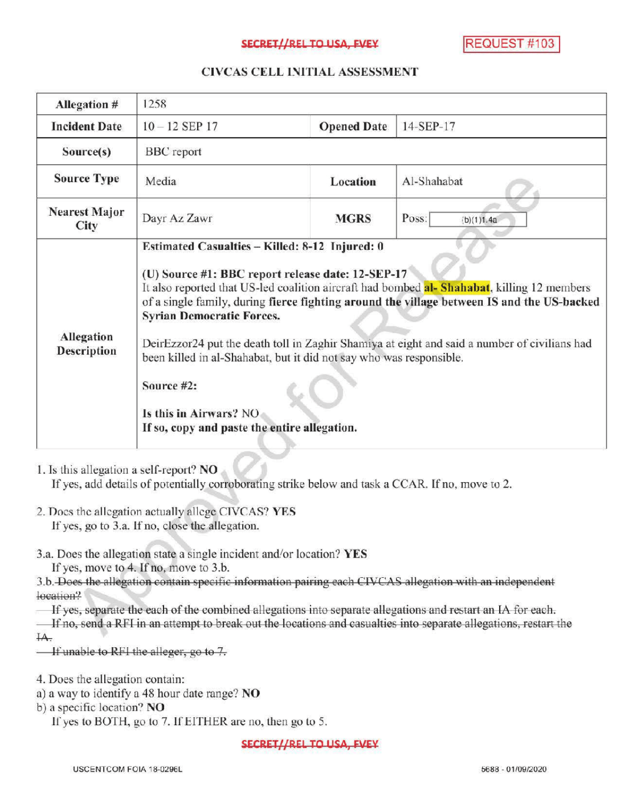#### SECRET//REL TO USA, FVEY REQUEST #103

## CIVCAS CELL INITIALASSESSMENT

| Allegation #                                                                                                                                                                                                                                         | 1258                                                                                                                                                                                                                                                                                                                                                                                                                                                                                                                                                                                                |                    |                     |
|------------------------------------------------------------------------------------------------------------------------------------------------------------------------------------------------------------------------------------------------------|-----------------------------------------------------------------------------------------------------------------------------------------------------------------------------------------------------------------------------------------------------------------------------------------------------------------------------------------------------------------------------------------------------------------------------------------------------------------------------------------------------------------------------------------------------------------------------------------------------|--------------------|---------------------|
| <b>Incident Date</b>                                                                                                                                                                                                                                 | $10 - 12$ SEP 17                                                                                                                                                                                                                                                                                                                                                                                                                                                                                                                                                                                    | <b>Opened Date</b> | 14-SEP-17           |
| Source(s)                                                                                                                                                                                                                                            | <b>BBC</b> report                                                                                                                                                                                                                                                                                                                                                                                                                                                                                                                                                                                   |                    |                     |
| <b>Source Type</b>                                                                                                                                                                                                                                   | Media                                                                                                                                                                                                                                                                                                                                                                                                                                                                                                                                                                                               | Location           | Al-Shahabat         |
| <b>Nearest Major</b><br>City                                                                                                                                                                                                                         | Dayr Az Zawr                                                                                                                                                                                                                                                                                                                                                                                                                                                                                                                                                                                        | <b>MGRS</b>        | Poss:<br>(b)(1)1.4a |
| Allegation<br><b>Description</b>                                                                                                                                                                                                                     | Estimated Casualties - Killed: 8-12 Injured: 0<br>(U) Source #1: BBC report release date: 12-SEP-17<br>It also reported that US-led coalition aircraft had bombed al- Shahabat, killing 12 members<br>of a single family, during fierce fighting around the village between IS and the US-backed<br><b>Syrian Democratic Forces.</b><br>DeirEzzor24 put the death toll in Zaghir Shamiya at eight and said a number of civilians had<br>been killed in al-Shahabat, but it did not say who was responsible.<br>Source #2:<br>Is this in Airwars? NO<br>If so, copy and paste the entire allegation. |                    |                     |
| 1. Is this allegation a self-report? NO<br>If yes, add details of potentially corroborating strike below and task a CCAR. If no, move to 2.<br>2. Does the allegation actually allege CIVCAS? YES<br>If yes, go to 3.a. If no, close the allegation. |                                                                                                                                                                                                                                                                                                                                                                                                                                                                                                                                                                                                     |                    |                     |

3.a. Does the allegation state a single incident and/or location? YES

If yes, move to 4. If no, move to 3.b.

3.b. Does the allegation contain specific information pairing each CIVCAS allegation with an independent location?

If yes, separate the each of the combined allegations into separate allegations and restart an IA for each.

If no, send a RFI in an attempt to break out the locations and casualties into separate allegations, restart the  $HA$ .

 $I$  if unable to RF1 the alleger, go to 7.

4. Does the allegation contain:

a) a way to identify a 48 hour date range? NO

b) a specific location? NO

If yes to BOTH, go to 7. If EITHER are no, then go to 5.

SECRET//REL TO USA, FVEY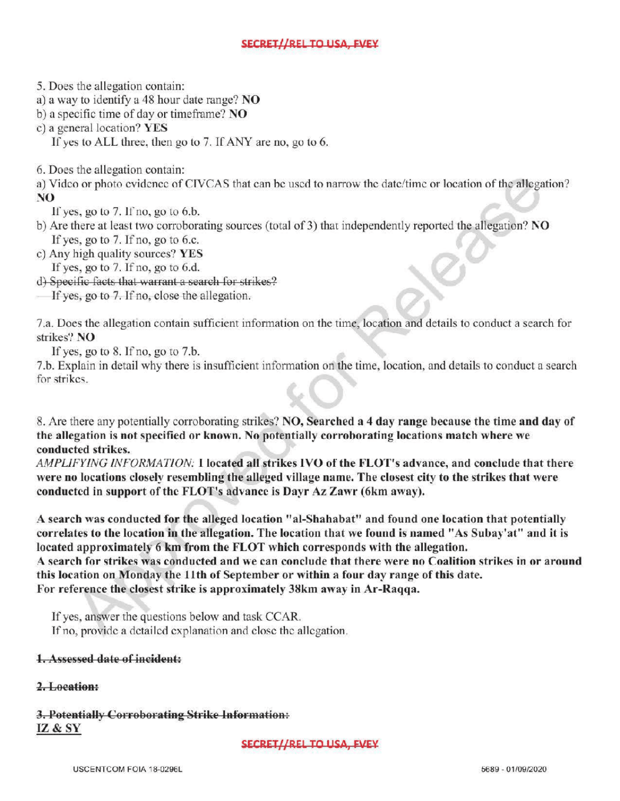## SECRET//REL TO USA, FVEY

5. Does the allegation contain:

a) <sup>a</sup> way to identify a 48 hour date range? NO

b) a specific time of day or timeframe?  $NO$ 

c) a general location? YES

If yes to ALL three, then go to  $7$ . If ANY are no, go to  $6$ .

6. Does the allegation contain:

a) Video or photo evidence of CIVCAS that can be used to narrow the date/time or location of the allegation? NO

If yes, go to  $7.$  If no, go to  $6.b$ .

- b) Are there at least two corroborating sources (total of 3) that independently reported the allegation? NO If yes, go to  $7.$  If no, go to 6.c.
- c) Any high quality sources? YES If yes, go to  $7.$  If no, go to  $6.d.$

d) Specific facts that warrant <sup>a</sup> search for strikes?

Ifyes, go to 7. If no, close the allegation.

7.a. Does the allegation contain sufficient information on the time, location and details to conduct a search for strikes? NO

If yes, go to  $8$ . If no, go to  $7.b$ .

7.b. Explain in detail why there is insufficient information on the time, location, and details to conduct a search for strikes.

8. Are there any potentially corroborating strikes? NO, Searched <sup>a</sup> <sup>4</sup> day range because the time and day of the allegation is not specified or known. No potentially corroboratinglocations match where we conducted strikes.

AMPLIFYING INFORMATION: I located all strikes IVO of the FLOT's advance, and conclude that there were no locations closely resembling the alleged village name. The closest city to the strikes that were conducted in support of the FLOT's advance is Dayr Az Zawr (6km away).

<sup>A</sup> search was conducted for the alleged location "al-Shahabat" and found one location that potentially correlates to the location in the allegation. The location that we found is named " As Subay'at" and it is located approximately 6 km from the FLOT which corresponds with the allegation. A search for strikes was conducted and we can conclude that there were no Coalition strikes in or around

this location on Monday the 11th of September or within <sup>a</sup> four day range ofthis date. For reference the closest strike is approximately 38km away in Ar-Raqqa.

If yes, answer the questions below and task CCAR. If no, provide a detailed explanation and close the allegation.

## Assessed date of incident:

# 2. Location:

3. Potentially Corroborating Strike Information: IZ & SY

SECRET//REL TO USA, FVEY